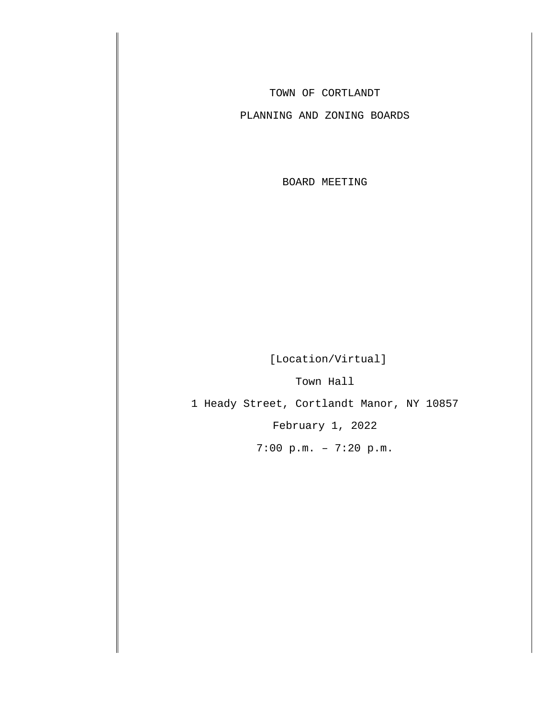TOWN OF CORTLANDT

PLANNING AND ZONING BOARDS

BOARD MEETING

[Location/Virtual]

Town Hall

1 Heady Street, Cortlandt Manor, NY 10857

February 1, 2022

7:00 p.m. – 7:20 p.m.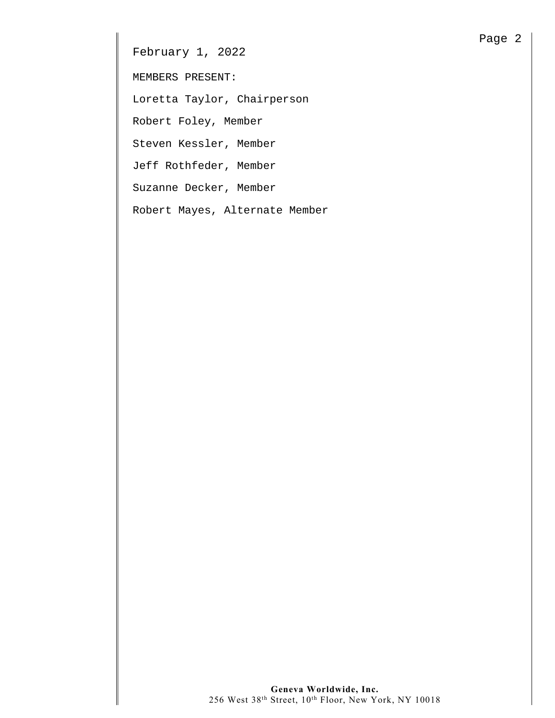February 1, 2022

MEMBERS PRESENT:

Loretta Taylor, Chairperson

Robert Foley, Member

Steven Kessler, Member

Jeff Rothfeder, Member

Suzanne Decker, Member

Robert Mayes, Alternate Member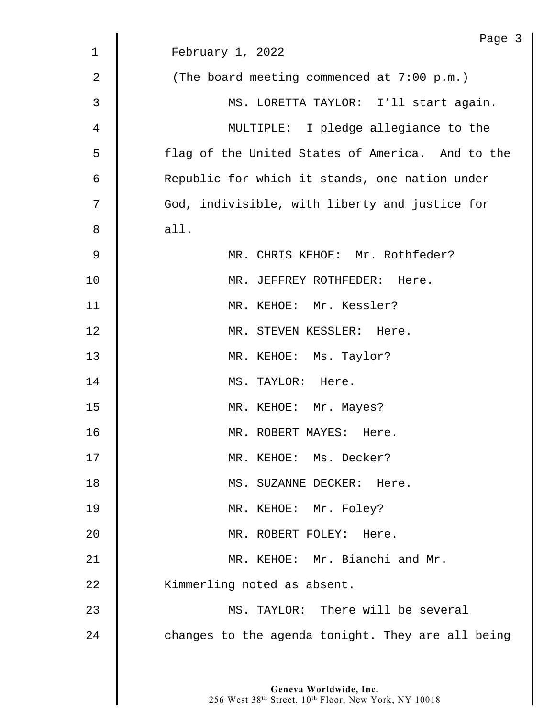| Page 3                                            |
|---------------------------------------------------|
| February 1, 2022                                  |
| (The board meeting commenced at $7:00$ p.m.)      |
| MS. LORETTA TAYLOR: I'll start again.             |
| MULTIPLE: I pledge allegiance to the              |
| flag of the United States of America. And to the  |
| Republic for which it stands, one nation under    |
| God, indivisible, with liberty and justice for    |
| all.                                              |
| MR. CHRIS KEHOE: Mr. Rothfeder?                   |
| MR. JEFFREY ROTHFEDER: Here.                      |
| MR. KEHOE: Mr. Kessler?                           |
| MR. STEVEN KESSLER: Here.                         |
| MR. KEHOE: Ms. Taylor?                            |
| MS. TAYLOR: Here.                                 |
| MR. KEHOE: Mr. Mayes?                             |
| MR. ROBERT MAYES: Here.                           |
| MR. KEHOE: Ms. Decker?                            |
| MS. SUZANNE DECKER: Here.                         |
| MR. KEHOE: Mr. Foley?                             |
| MR. ROBERT FOLEY: Here.                           |
| MR. KEHOE: Mr. Bianchi and Mr.                    |
| Kimmerling noted as absent.                       |
| MS. TAYLOR: There will be several                 |
| changes to the agenda tonight. They are all being |
|                                                   |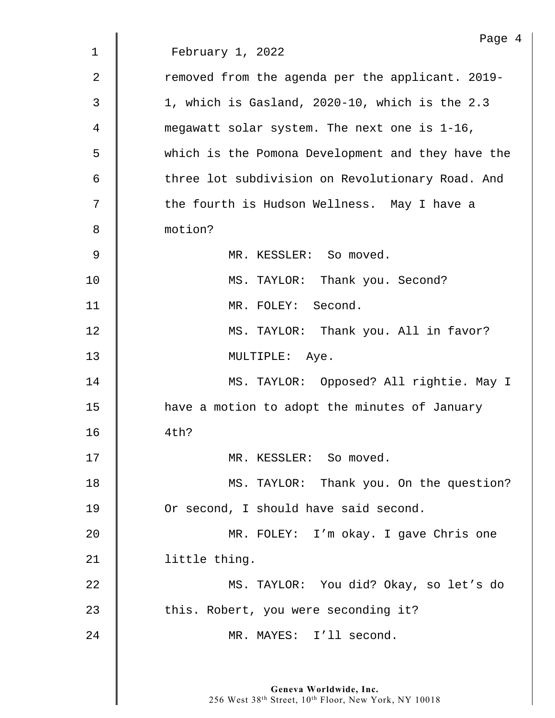|             | Page 4                                            |
|-------------|---------------------------------------------------|
| $\mathbf 1$ | February 1, 2022                                  |
| 2           | removed from the agenda per the applicant. 2019-  |
| 3           | 1, which is Gasland, 2020-10, which is the 2.3    |
| 4           | megawatt solar system. The next one is 1-16,      |
| 5           | which is the Pomona Development and they have the |
| 6           | three lot subdivision on Revolutionary Road. And  |
| 7           | the fourth is Hudson Wellness. May I have a       |
| 8           | motion?                                           |
| 9           | MR. KESSLER: So moved.                            |
| 10          | MS. TAYLOR: Thank you. Second?                    |
| 11          | MR. FOLEY: Second.                                |
| 12          | MS. TAYLOR: Thank you. All in favor?              |
| 13          | MULTIPLE: Aye.                                    |
| 14          | MS. TAYLOR: Opposed? All rightie. May I           |
| 15          | have a motion to adopt the minutes of January     |
| 16          | 4th?                                              |
| 17          | MR. KESSLER: So moved.                            |
| 18          | MS. TAYLOR: Thank you. On the question?           |
| 19          | Or second, I should have said second.             |
| 20          | MR. FOLEY: I'm okay. I gave Chris one             |
| 21          | little thing.                                     |
| 22          | MS. TAYLOR: You did? Okay, so let's do            |
| 23          | this. Robert, you were seconding it?              |
| 24          | MR. MAYES: I'll second.                           |
|             |                                                   |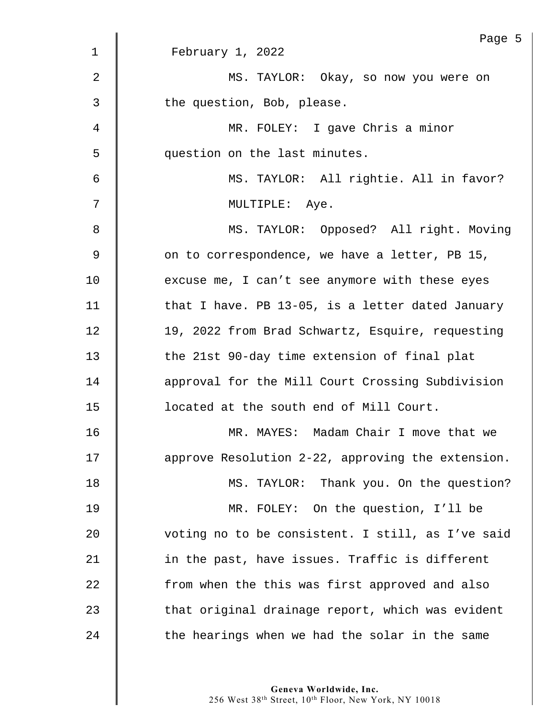|                | Page 5                                            |
|----------------|---------------------------------------------------|
| $\mathbf{1}$   | February 1, 2022                                  |
| $\overline{2}$ | MS. TAYLOR: Okay, so now you were on              |
| 3              | the question, Bob, please.                        |
| $\overline{4}$ | MR. FOLEY: I gave Chris a minor                   |
| 5              | question on the last minutes.                     |
| 6              | MS. TAYLOR: All rightie. All in favor?            |
| 7              | MULTIPLE: Aye.                                    |
| 8              | MS. TAYLOR: Opposed? All right. Moving            |
| 9              | on to correspondence, we have a letter, PB 15,    |
| 10             | excuse me, I can't see anymore with these eyes    |
| 11             | that I have. PB 13-05, is a letter dated January  |
| 12             | 19, 2022 from Brad Schwartz, Esquire, requesting  |
| 13             | the 21st 90-day time extension of final plat      |
| 14             | approval for the Mill Court Crossing Subdivision  |
| 15             | located at the south end of Mill Court.           |
| 16             | MR. MAYES: Madam Chair I move that we             |
| 17             | approve Resolution 2-22, approving the extension. |
| 18             | MS. TAYLOR: Thank you. On the question?           |
| 19             | MR. FOLEY: On the question, I'll be               |
| 20             | voting no to be consistent. I still, as I've said |
| 21             | in the past, have issues. Traffic is different    |
| 22             | from when the this was first approved and also    |
| 23             | that original drainage report, which was evident  |
| 24             | the hearings when we had the solar in the same    |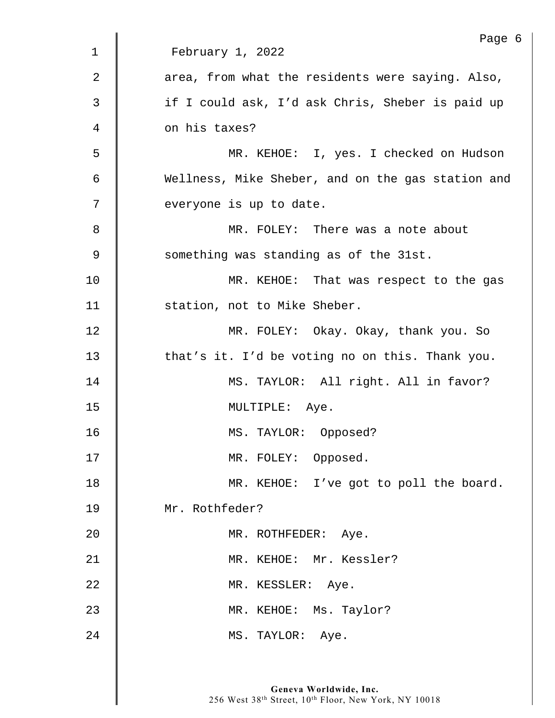|                | Page 6                                            |
|----------------|---------------------------------------------------|
| $\mathbf 1$    | February 1, 2022                                  |
| $\overline{2}$ | area, from what the residents were saying. Also,  |
| 3              | if I could ask, I'd ask Chris, Sheber is paid up  |
| 4              | on his taxes?                                     |
| 5              | MR. KEHOE: I, yes. I checked on Hudson            |
| 6              | Wellness, Mike Sheber, and on the gas station and |
| 7              | everyone is up to date.                           |
| 8              | MR. FOLEY: There was a note about                 |
| 9              | something was standing as of the 31st.            |
| 10             | MR. KEHOE: That was respect to the gas            |
| 11             | station, not to Mike Sheber.                      |
| 12             | MR. FOLEY: Okay. Okay, thank you. So              |
| 13             | that's it. I'd be voting no on this. Thank you.   |
| 14             | MS. TAYLOR: All right. All in favor?              |
| 15             | MULTIPLE: Aye.                                    |
| 16             | MS. TAYLOR: Opposed?                              |
| 17             | MR. FOLEY: Opposed.                               |
| 18             | MR. KEHOE: I've got to poll the board.            |
| 19             | Mr. Rothfeder?                                    |
| 20             | MR. ROTHFEDER: Aye.                               |
| 21             | MR. KEHOE: Mr. Kessler?                           |
| 22             | MR. KESSLER: Aye.                                 |
| 23             | MR. KEHOE: Ms. Taylor?                            |
| 24             | MS. TAYLOR: Aye.                                  |
|                |                                                   |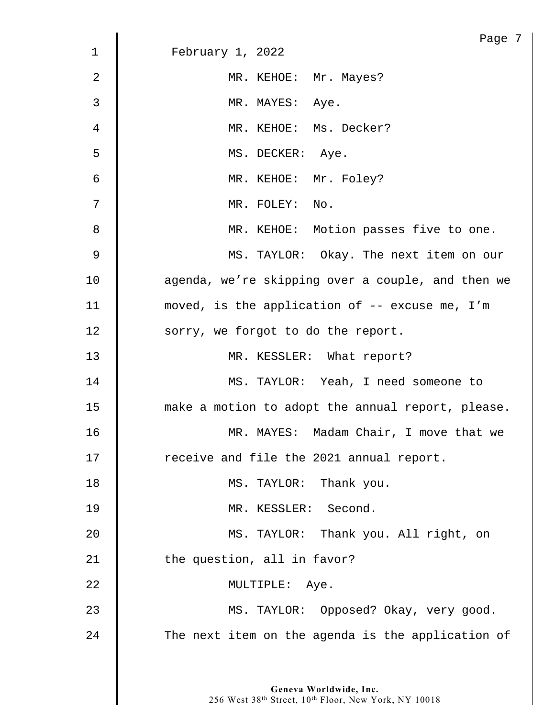|             | Page 7                                            |
|-------------|---------------------------------------------------|
| $\mathbf 1$ | February 1, 2022                                  |
| 2           | MR. KEHOE: Mr. Mayes?                             |
| 3           | MR. MAYES: Aye.                                   |
| 4           | MR. KEHOE: Ms. Decker?                            |
| 5           | MS. DECKER: Aye.                                  |
| 6           | MR. KEHOE: Mr. Foley?                             |
| 7           | MR. FOLEY: No.                                    |
| 8           | MR. KEHOE: Motion passes five to one.             |
| 9           | MS. TAYLOR: Okay. The next item on our            |
| 10          | agenda, we're skipping over a couple, and then we |
| 11          | moved, is the application of -- excuse me, I'm    |
| 12          | sorry, we forgot to do the report.                |
| 13          | MR. KESSLER: What report?                         |
| 14          | MS. TAYLOR: Yeah, I need someone to               |
| 15          | make a motion to adopt the annual report, please. |
| 16          | MR. MAYES: Madam Chair, I move that we            |
| 17          | receive and file the 2021 annual report.          |
| 18          | MS. TAYLOR: Thank you.                            |
| 19          | MR. KESSLER: Second.                              |
| 20          | MS. TAYLOR: Thank you. All right, on              |
| 21          | the question, all in favor?                       |
| 22          | MULTIPLE: Aye.                                    |
| 23          | MS. TAYLOR: Opposed? Okay, very good.             |
| 24          | The next item on the agenda is the application of |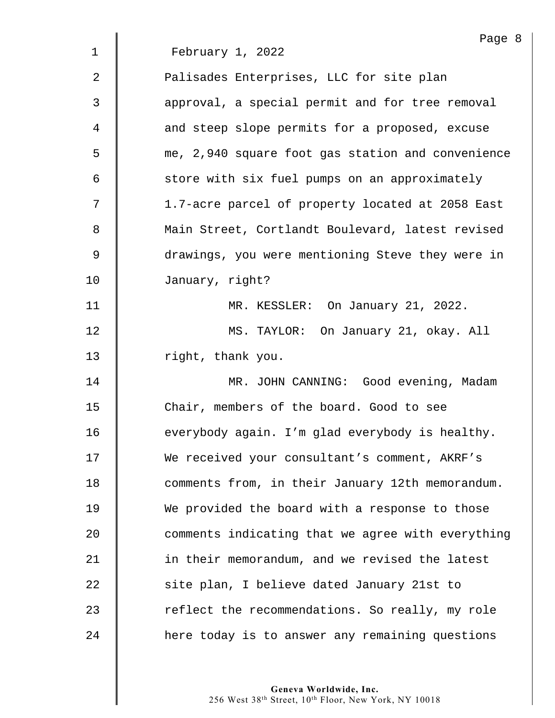|                | Page 8                                            |
|----------------|---------------------------------------------------|
| $\mathbf 1$    | February 1, 2022                                  |
| 2              | Palisades Enterprises, LLC for site plan          |
| 3              | approval, a special permit and for tree removal   |
| 4              | and steep slope permits for a proposed, excuse    |
| 5              | me, 2,940 square foot gas station and convenience |
| 6              | store with six fuel pumps on an approximately     |
| 7              | 1.7-acre parcel of property located at 2058 East  |
| 8              | Main Street, Cortlandt Boulevard, latest revised  |
| $\overline{9}$ | drawings, you were mentioning Steve they were in  |
| 10             | January, right?                                   |
| 11             | MR. KESSLER: On January 21, 2022.                 |
| 12             | MS. TAYLOR: On January 21, okay. All              |
| 13             | right, thank you.                                 |
| 14             | MR. JOHN CANNING: Good evening, Madam             |
| 15             | Chair, members of the board. Good to see          |
| 16             | everybody again. I'm glad everybody is healthy.   |
| 17             | We received your consultant's comment, AKRF's     |
| 18             | comments from, in their January 12th memorandum.  |
| 19             | We provided the board with a response to those    |
| 20             | comments indicating that we agree with everything |
| 21             | in their memorandum, and we revised the latest    |
| 22             | site plan, I believe dated January 21st to        |
| 23             | reflect the recommendations. So really, my role   |
| 24             | here today is to answer any remaining questions   |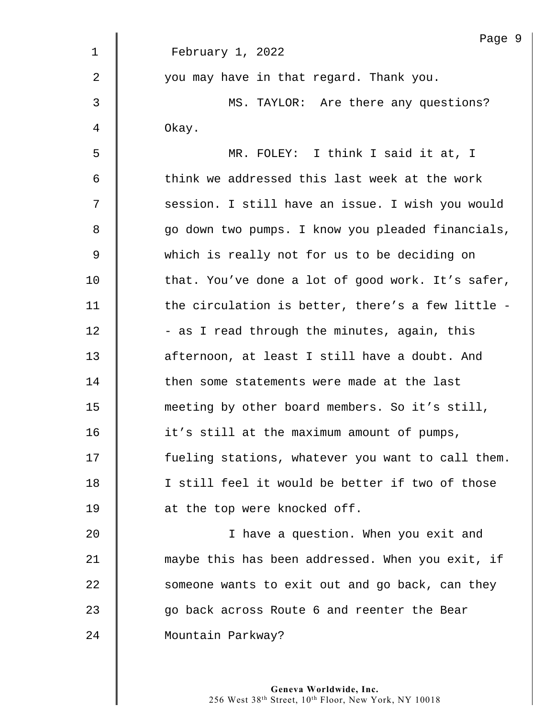|                | Page 9                                            |
|----------------|---------------------------------------------------|
| 1              | February 1, 2022                                  |
| $\overline{2}$ | you may have in that regard. Thank you.           |
| 3              | MS. TAYLOR: Are there any questions?              |
| 4              | Okay.                                             |
| 5              | MR. FOLEY: I think I said it at, I                |
| 6              | think we addressed this last week at the work     |
| 7              | session. I still have an issue. I wish you would  |
| 8              | go down two pumps. I know you pleaded financials, |
| 9              | which is really not for us to be deciding on      |
| 10             | that. You've done a lot of good work. It's safer, |
| 11             | the circulation is better, there's a few little - |
| 12             | - as I read through the minutes, again, this      |
| 13             | afternoon, at least I still have a doubt. And     |
| 14             | then some statements were made at the last        |
| 15             | meeting by other board members. So it's still,    |
| 16             | it's still at the maximum amount of pumps,        |
| 17             | fueling stations, whatever you want to call them. |
| 18             | I still feel it would be better if two of those   |
| 19             | at the top were knocked off.                      |
| 20             | I have a question. When you exit and              |
| 21             | maybe this has been addressed. When you exit, if  |
| 22             | someone wants to exit out and go back, can they   |
| 23             | go back across Route 6 and reenter the Bear       |
| 24             | Mountain Parkway?                                 |
|                |                                                   |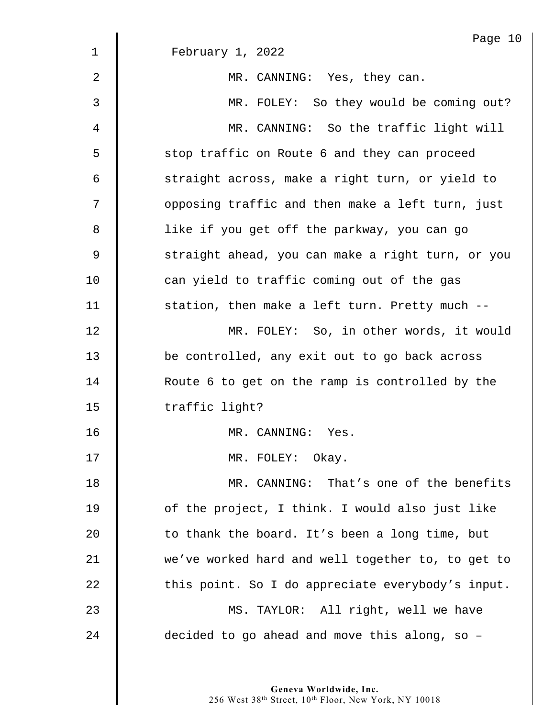|    | Page 10                                           |
|----|---------------------------------------------------|
| 1  | February 1, 2022                                  |
| 2  | MR. CANNING: Yes, they can.                       |
| 3  | MR. FOLEY: So they would be coming out?           |
| 4  | MR. CANNING: So the traffic light will            |
| 5  | stop traffic on Route 6 and they can proceed      |
| 6  | straight across, make a right turn, or yield to   |
| 7  | opposing traffic and then make a left turn, just  |
| 8  | like if you get off the parkway, you can go       |
| 9  | straight ahead, you can make a right turn, or you |
| 10 | can yield to traffic coming out of the gas        |
| 11 | station, then make a left turn. Pretty much --    |
| 12 | MR. FOLEY: So, in other words, it would           |
| 13 | be controlled, any exit out to go back across     |
| 14 | Route 6 to get on the ramp is controlled by the   |
| 15 | traffic light?                                    |
| 16 | MR. CANNING:<br>Yes.                              |
| 17 | MR. FOLEY: Okay.                                  |
| 18 | MR. CANNING: That's one of the benefits           |
| 19 | of the project, I think. I would also just like   |
| 20 | to thank the board. It's been a long time, but    |
| 21 | we've worked hard and well together to, to get to |
| 22 | this point. So I do appreciate everybody's input. |
| 23 | MS. TAYLOR: All right, well we have               |
| 24 | decided to go ahead and move this along, so -     |
|    |                                                   |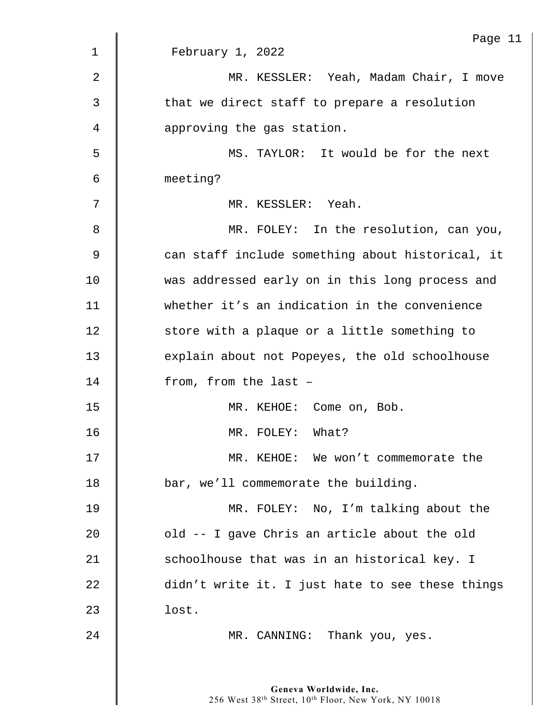|                | Page 11                                          |
|----------------|--------------------------------------------------|
| $\mathbf 1$    | February 1, 2022                                 |
| $\overline{2}$ | MR. KESSLER: Yeah, Madam Chair, I move           |
| 3              | that we direct staff to prepare a resolution     |
| 4              | approving the gas station.                       |
| 5              | MS. TAYLOR: It would be for the next             |
| 6              | meeting?                                         |
| 7              | MR. KESSLER: Yeah.                               |
| 8              | MR. FOLEY: In the resolution, can you,           |
| $\mathsf 9$    | can staff include something about historical, it |
| 10             | was addressed early on in this long process and  |
| 11             | whether it's an indication in the convenience    |
| 12             | store with a plaque or a little something to     |
| 13             | explain about not Popeyes, the old schoolhouse   |
| 14             | from, from the last -                            |
| 15             | MR. KEHOE: Come on, Bob.                         |
| 16             | MR. FOLEY: What?                                 |
| 17             | MR. KEHOE: We won't commemorate the              |
| 18             | bar, we'll commemorate the building.             |
| 19             | MR. FOLEY: No, I'm talking about the             |
| 20             | old -- I gave Chris an article about the old     |
| 21             | schoolhouse that was in an historical key. I     |
| 22             | didn't write it. I just hate to see these things |
| 23             | lost.                                            |
| 24             | MR. CANNING: Thank you, yes.                     |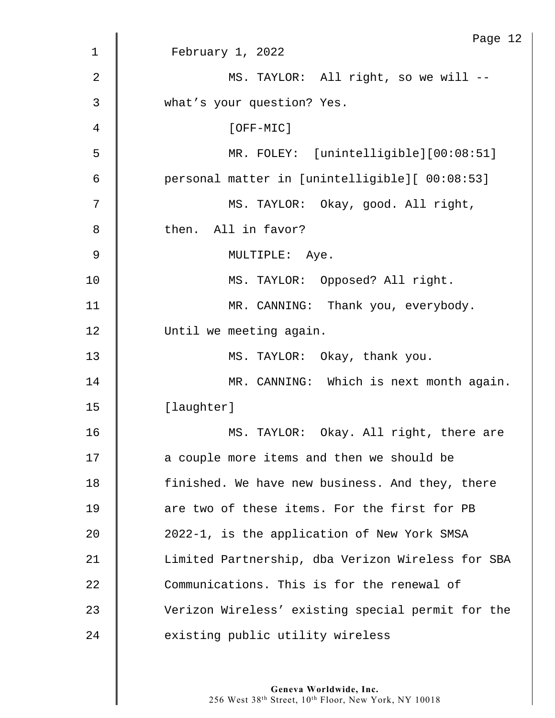|                | Page 12                                           |
|----------------|---------------------------------------------------|
| 1              | February 1, 2022                                  |
| $\overline{2}$ | MS. TAYLOR: All right, so we will --              |
| $\mathfrak{Z}$ | what's your question? Yes.                        |
| 4              | [OFF-MIC]                                         |
| 5              | MR. FOLEY: [unintelligible][00:08:51]             |
| 6              | personal matter in [unintelligible][ 00:08:53]    |
| 7              | MS. TAYLOR: Okay, good. All right,                |
| 8              | then. All in favor?                               |
| 9              | MULTIPLE: Aye.                                    |
| 10             | MS. TAYLOR: Opposed? All right.                   |
| 11             | MR. CANNING: Thank you, everybody.                |
| 12             | Until we meeting again.                           |
| 13             | MS. TAYLOR: Okay, thank you.                      |
| 14             | MR. CANNING: Which is next month again.           |
| 15             | [laughter]                                        |
| 16             | MS.<br>TAYLOR: Okay. All right, there are         |
| 17             | a couple more items and then we should be         |
| 18             | finished. We have new business. And they, there   |
| 19             | are two of these items. For the first for PB      |
| 20             | 2022-1, is the application of New York SMSA       |
| 21             | Limited Partnership, dba Verizon Wireless for SBA |
| 22             | Communications. This is for the renewal of        |
| 23             | Verizon Wireless' existing special permit for the |
| 24             | existing public utility wireless                  |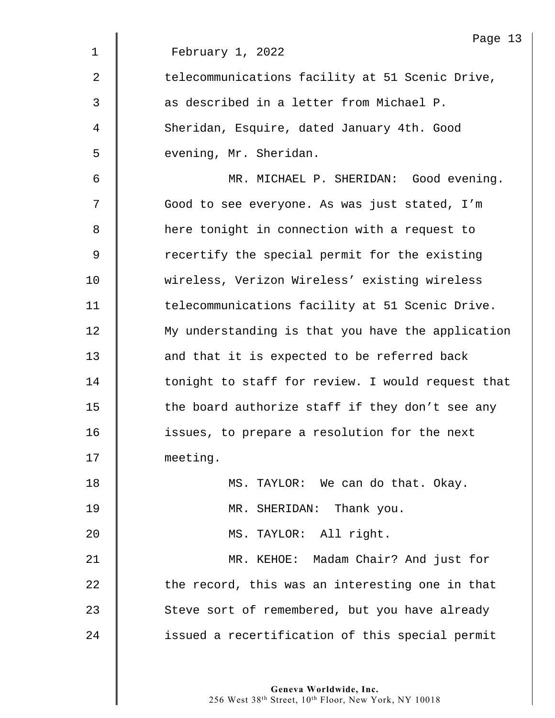|             | Page 13                                           |
|-------------|---------------------------------------------------|
| $\mathbf 1$ | February 1, 2022                                  |
| 2           | telecommunications facility at 51 Scenic Drive,   |
| 3           | as described in a letter from Michael P.          |
| 4           | Sheridan, Esquire, dated January 4th. Good        |
| 5           | evening, Mr. Sheridan.                            |
| 6           | MR. MICHAEL P. SHERIDAN: Good evening.            |
| 7           | Good to see everyone. As was just stated, I'm     |
| 8           | here tonight in connection with a request to      |
| 9           | recertify the special permit for the existing     |
| 10          | wireless, Verizon Wireless' existing wireless     |
| 11          | telecommunications facility at 51 Scenic Drive.   |
| 12          | My understanding is that you have the application |
| 13          | and that it is expected to be referred back       |
| 14          | tonight to staff for review. I would request that |
| 15          | the board authorize staff if they don't see any   |
| 16          | issues, to prepare a resolution for the next      |
| 17          | meeting.                                          |
| 18          | MS. TAYLOR: We can do that. Okay.                 |
| 19          | MR. SHERIDAN: Thank you.                          |
| 20          | MS. TAYLOR: All right.                            |
| 21          | MR. KEHOE: Madam Chair? And just for              |
| 22          | the record, this was an interesting one in that   |
| 23          | Steve sort of remembered, but you have already    |
| 24          | issued a recertification of this special permit   |
|             |                                                   |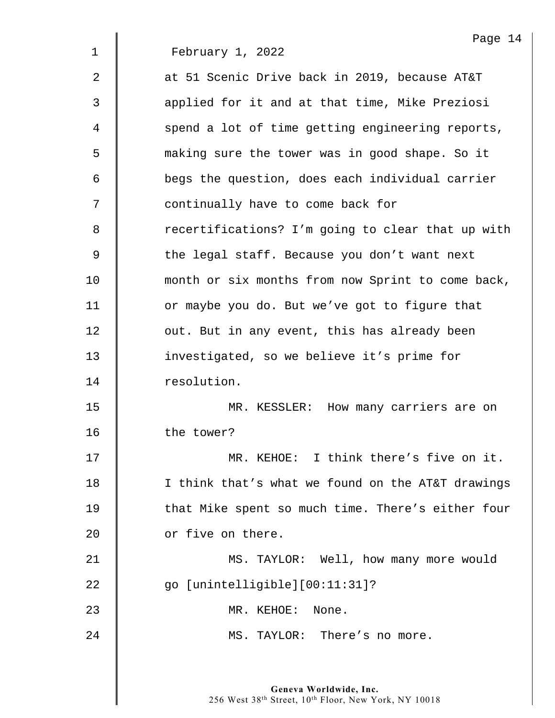Page 14 1 February 1, 2022 2  $\parallel$  at 51 Scenic Drive back in 2019, because AT&T 3 || applied for it and at that time, Mike Preziosi 4 | spend a lot of time getting engineering reports, 5 making sure the tower was in good shape. So it 6 **begs the question, does each individual carrier** 7 || continually have to come back for 8 Tecertifications? I'm going to clear that up with  $9 \parallel$  the legal staff. Because you don't want next 10 | month or six months from now Sprint to come back, 11 | or maybe you do. But we've got to figure that 12 **J** out. But in any event, this has already been 13 investigated, so we believe it's prime for 14 | resolution. 15 | MR. KESSLER: How many carriers are on 16 | the tower? 17 **NR. KEHOE:** I think there's five on it. 18 | I think that's what we found on the AT&T drawings 19 | that Mike spent so much time. There's either four 20 **c** or five on there. 21 | MS. TAYLOR: Well, how many more would 22 go [unintelligible][00:11:31]? 23 MR. KEHOE: None. 24 **MS. TAYLOR:** There's no more.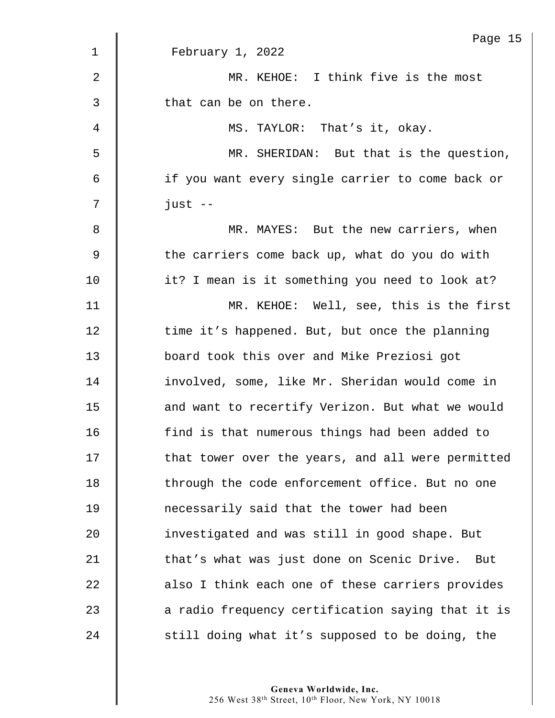|                | Page 15                                           |
|----------------|---------------------------------------------------|
| $\mathbf 1$    | February 1, 2022                                  |
| $\overline{2}$ | MR. KEHOE: I think five is the most               |
| 3              | that can be on there.                             |
| 4              | MS. TAYLOR: That's it, okay.                      |
| 5              | MR. SHERIDAN: But that is the question,           |
| 6              | if you want every single carrier to come back or  |
| 7              | $just --$                                         |
| 8              | MR. MAYES: But the new carriers, when             |
| 9              | the carriers come back up, what do you do with    |
| 10             | it? I mean is it something you need to look at?   |
| 11             | MR. KEHOE: Well, see, this is the first           |
| 12             | time it's happened. But, but once the planning    |
| 13             | board took this over and Mike Preziosi got        |
| 14             | involved, some, like Mr. Sheridan would come in   |
| 15             | and want to recertify Verizon. But what we would  |
| 16             | find is that numerous things had been added to    |
| 17             | that tower over the years, and all were permitted |
| 18             | through the code enforcement office. But no one   |
| 19             | necessarily said that the tower had been          |
| 20             | investigated and was still in good shape. But     |
| 21             | that's what was just done on Scenic Drive. But    |
| 22             | also I think each one of these carriers provides  |
| 23             | a radio frequency certification saying that it is |
| 24             | still doing what it's supposed to be doing, the   |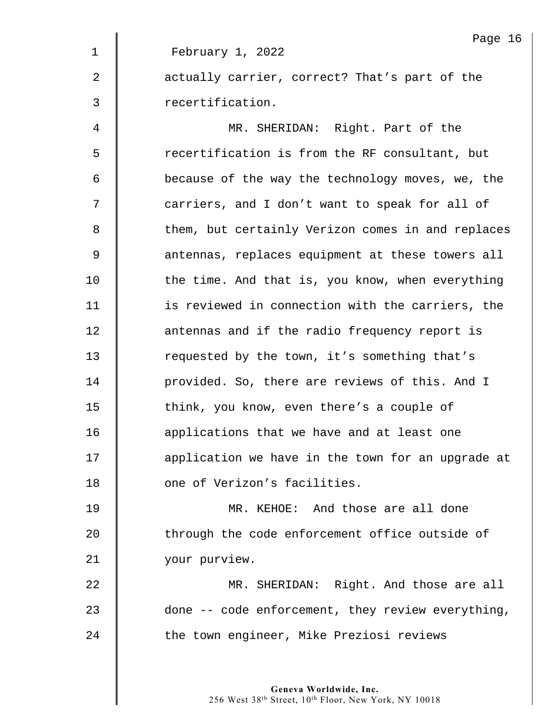|             | Page 16                                           |
|-------------|---------------------------------------------------|
| $\mathbf 1$ | February 1, 2022                                  |
| 2           | actually carrier, correct? That's part of the     |
| 3           | recertification.                                  |
| 4           | MR. SHERIDAN: Right. Part of the                  |
| 5           | recertification is from the RF consultant, but    |
| 6           | because of the way the technology moves, we, the  |
| 7           | carriers, and I don't want to speak for all of    |
| 8           | them, but certainly Verizon comes in and replaces |
| 9           | antennas, replaces equipment at these towers all  |
| 10          | the time. And that is, you know, when everything  |
| 11          | is reviewed in connection with the carriers, the  |
| 12          | antennas and if the radio frequency report is     |
| 13          | requested by the town, it's something that's      |
| 14          | provided. So, there are reviews of this. And I    |
| 15          | think, you know, even there's a couple of         |
| 16          | applications that we have and at least one        |
| 17          | application we have in the town for an upgrade at |
| 18          | one of Verizon's facilities.                      |
| 19          | MR. KEHOE: And those are all done                 |
| 20          | through the code enforcement office outside of    |
| 21          | your purview.                                     |
| 22          | MR. SHERIDAN: Right. And those are all            |
| 23          | done -- code enforcement, they review everything, |
| 24          | the town engineer, Mike Preziosi reviews          |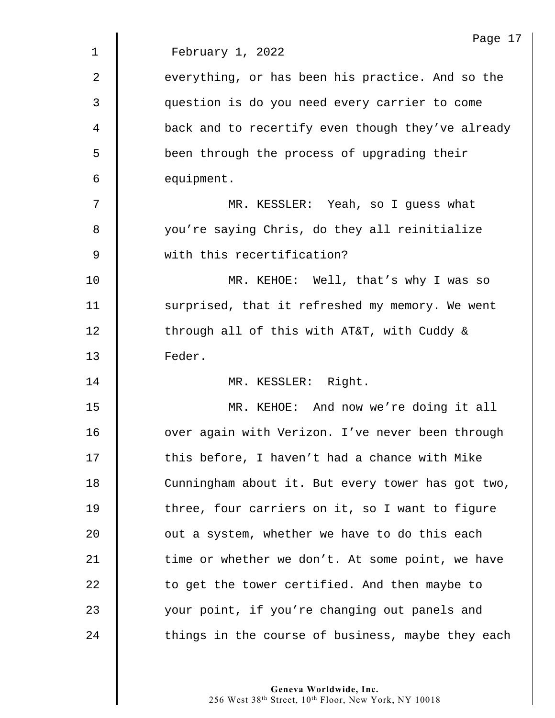|             | Page 17                                           |
|-------------|---------------------------------------------------|
| $\mathbf 1$ | February 1, 2022                                  |
| 2           | everything, or has been his practice. And so the  |
| 3           | question is do you need every carrier to come     |
| 4           | back and to recertify even though they've already |
| 5           | been through the process of upgrading their       |
| 6           | equipment.                                        |
| 7           | MR. KESSLER: Yeah, so I guess what                |
| 8           | you're saying Chris, do they all reinitialize     |
| 9           | with this recertification?                        |
| 10          | MR. KEHOE: Well, that's why I was so              |
| 11          | surprised, that it refreshed my memory. We went   |
| 12          | through all of this with AT&T, with Cuddy &       |
| 13          | Feder.                                            |
| 14          | MR. KESSLER: Right.                               |
| 15          | MR. KEHOE: And now we're doing it all             |
| 16          | over again with Verizon. I've never been through  |
| 17          | this before, I haven't had a chance with Mike     |
| 18          | Cunningham about it. But every tower has got two, |
| 19          | three, four carriers on it, so I want to figure   |
| 20          | out a system, whether we have to do this each     |
| 21          | time or whether we don't. At some point, we have  |
| 22          | to get the tower certified. And then maybe to     |
| 23          | your point, if you're changing out panels and     |
| 24          | things in the course of business, maybe they each |
|             |                                                   |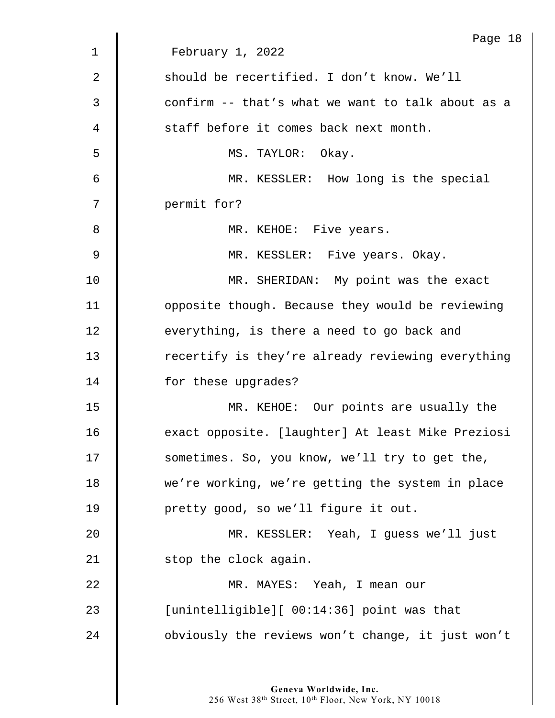|    | Page 18                                           |
|----|---------------------------------------------------|
| 1  | February 1, 2022                                  |
| 2  | should be recertified. I don't know. We'll        |
| 3  | confirm -- that's what we want to talk about as a |
| 4  | staff before it comes back next month.            |
| 5  | MS. TAYLOR: Okay.                                 |
| 6  | MR. KESSLER: How long is the special              |
| 7  | permit for?                                       |
| 8  | MR. KEHOE: Five years.                            |
| 9  | MR. KESSLER: Five years. Okay.                    |
| 10 | MR. SHERIDAN: My point was the exact              |
| 11 | opposite though. Because they would be reviewing  |
| 12 | everything, is there a need to go back and        |
| 13 | recertify is they're already reviewing everything |
| 14 | for these upgrades?                               |
| 15 | MR. KEHOE: Our points are usually the             |
| 16 | exact opposite. [laughter] At least Mike Preziosi |
| 17 | sometimes. So, you know, we'll try to get the,    |
| 18 | we're working, we're getting the system in place  |
| 19 | pretty good, so we'll figure it out.              |
| 20 | MR. KESSLER: Yeah, I guess we'll just             |
| 21 | stop the clock again.                             |
| 22 | MR. MAYES: Yeah, I mean our                       |
| 23 | [unintelligible][ 00:14:36] point was that        |
| 24 | obviously the reviews won't change, it just won't |
|    |                                                   |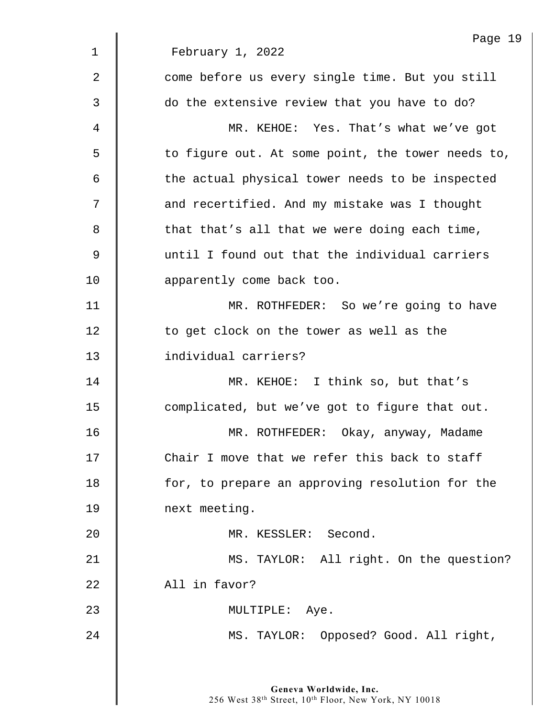|                | Page 19                                           |
|----------------|---------------------------------------------------|
| $\mathbf 1$    | February 1, 2022                                  |
| $\overline{2}$ | come before us every single time. But you still   |
| 3              | do the extensive review that you have to do?      |
| 4              | MR. KEHOE: Yes. That's what we've got             |
| 5              | to figure out. At some point, the tower needs to, |
| 6              | the actual physical tower needs to be inspected   |
| 7              | and recertified. And my mistake was I thought     |
| 8              | that that's all that we were doing each time,     |
| $\overline{9}$ | until I found out that the individual carriers    |
| 10             | apparently come back too.                         |
| 11             | MR. ROTHFEDER: So we're going to have             |
| 12             | to get clock on the tower as well as the          |
| 13             | individual carriers?                              |
| 14             | MR. KEHOE: I think so, but that's                 |
| 15             | complicated, but we've got to figure that out.    |
| 16             | MR. ROTHFEDER: Okay, anyway, Madame               |
| 17             | Chair I move that we refer this back to staff     |
| 18             | for, to prepare an approving resolution for the   |
| 19             | next meeting.                                     |
| 20             | MR. KESSLER: Second.                              |
| 21             | MS. TAYLOR: All right. On the question?           |
| 22             | All in favor?                                     |
| 23             | MULTIPLE: Aye.                                    |
| 24             | MS. TAYLOR: Opposed? Good. All right,             |
|                |                                                   |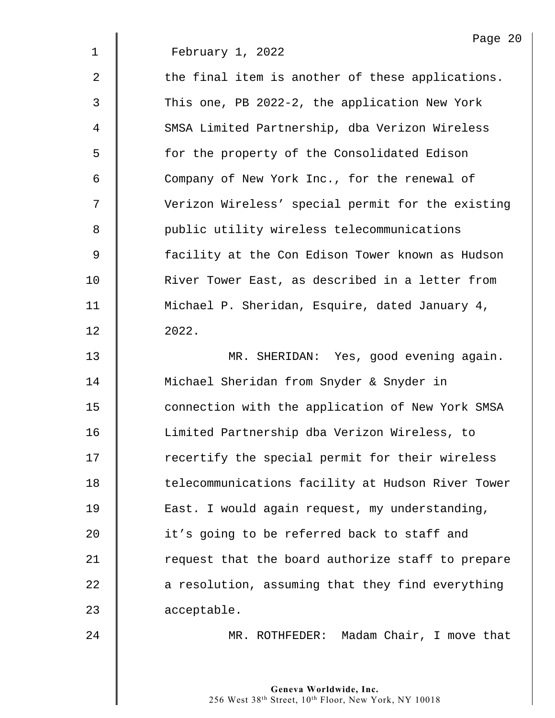|             | Page 20                                           |
|-------------|---------------------------------------------------|
| $\mathbf 1$ | February 1, 2022                                  |
| 2           | the final item is another of these applications.  |
| 3           | This one, PB 2022-2, the application New York     |
| 4           | SMSA Limited Partnership, dba Verizon Wireless    |
| 5           | for the property of the Consolidated Edison       |
| 6           | Company of New York Inc., for the renewal of      |
| 7           | Verizon Wireless' special permit for the existing |
| 8           | public utility wireless telecommunications        |
| 9           | facility at the Con Edison Tower known as Hudson  |
| 10          | River Tower East, as described in a letter from   |
| 11          | Michael P. Sheridan, Esquire, dated January 4,    |
| 12          | 2022.                                             |
|             |                                                   |

13 | MR. SHERIDAN: Yes, good evening again. 14 | Michael Sheridan from Snyder & Snyder in 15 | connection with the application of New York SMSA 16 | Limited Partnership dba Verizon Wireless, to 17 | recertify the special permit for their wireless 18 | telecommunications facility at Hudson River Tower 19 | East. I would again request, my understanding, 20 **it's** going to be referred back to staff and 21 Tequest that the board authorize staff to prepare  $22$   $\parallel$  a resolution, assuming that they find everything 23 acceptable.

 $\mathbf{I}$ 

24 | MR. ROTHFEDER: Madam Chair, I move that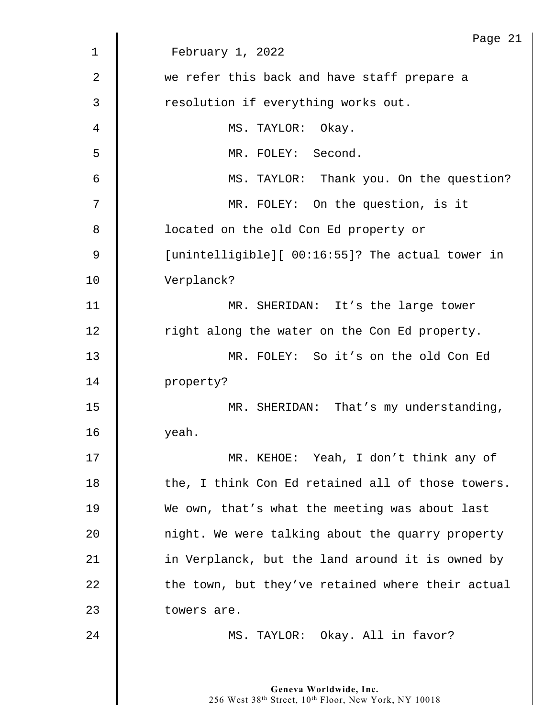|                | Page 21                                           |
|----------------|---------------------------------------------------|
| $\mathbf 1$    | February 1, 2022                                  |
| $\overline{2}$ | we refer this back and have staff prepare a       |
| 3              | resolution if everything works out.               |
| 4              | MS. TAYLOR: Okay.                                 |
| 5              | MR. FOLEY: Second.                                |
| 6              | MS. TAYLOR: Thank you. On the question?           |
| 7              | MR. FOLEY: On the question, is it                 |
| 8              | located on the old Con Ed property or             |
| 9              | [unintelligible][ 00:16:55]? The actual tower in  |
| 10             | Verplanck?                                        |
| 11             | MR. SHERIDAN: It's the large tower                |
| 12             | right along the water on the Con Ed property.     |
| 13             | MR. FOLEY: So it's on the old Con Ed              |
| 14             | property?                                         |
| 15             | MR. SHERIDAN: That's my understanding,            |
| 16             | yeah.                                             |
| 17             | MR. KEHOE: Yeah, I don't think any of             |
| 18             | the, I think Con Ed retained all of those towers. |
| 19             | We own, that's what the meeting was about last    |
| 20             | night. We were talking about the quarry property  |
| 21             | in Verplanck, but the land around it is owned by  |
| 22             | the town, but they've retained where their actual |
| 23             | towers are.                                       |
| 24             | MS. TAYLOR: Okay. All in favor?                   |
|                |                                                   |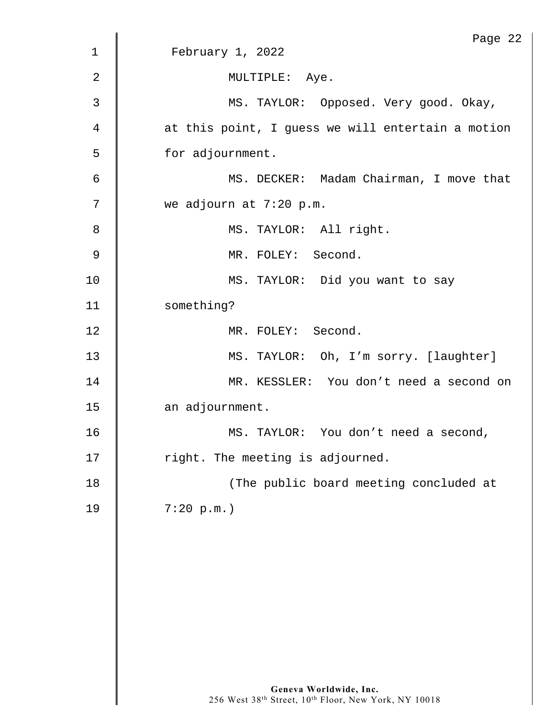|             | Page 22                                           |
|-------------|---------------------------------------------------|
| $\mathbf 1$ | February 1, 2022                                  |
| 2           | MULTIPLE: Aye.                                    |
| 3           | MS. TAYLOR: Opposed. Very good. Okay,             |
| 4           | at this point, I guess we will entertain a motion |
| 5           | for adjournment.                                  |
| 6           | MS. DECKER: Madam Chairman, I move that           |
| 7           | we adjourn at 7:20 p.m.                           |
| 8           | MS. TAYLOR: All right.                            |
| 9           | MR. FOLEY: Second.                                |
| 10          | MS. TAYLOR: Did you want to say                   |
| 11          | something?                                        |
| 12          | MR. FOLEY: Second.                                |
| 13          | MS. TAYLOR: Oh, I'm sorry. [laughter]             |
| 14          | MR. KESSLER: You don't need a second on           |
| 15          | an adjournment.                                   |
| 16          | MS. TAYLOR: You don't need a second,              |
| 17          | right. The meeting is adjourned.                  |
| 18          | (The public board meeting concluded at            |
| 19          | 7:20 p.m.                                         |
|             |                                                   |